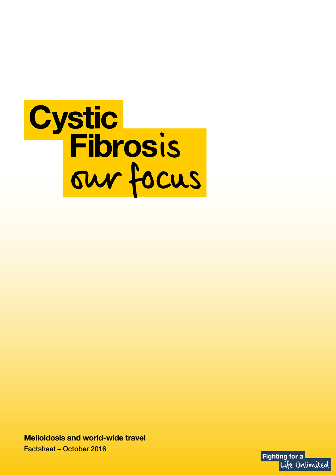

**Melioidosis and world-wide travel**  Factsheet – October 2016

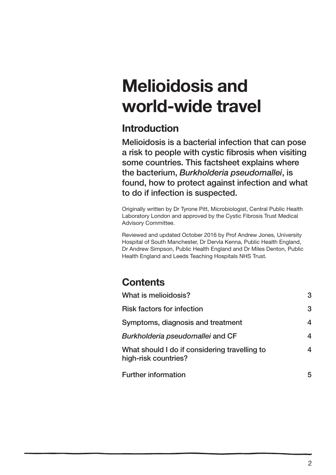# **Melioidosis and world-wide travel**

# **Introduction**

Melioidosis is a bacterial infection that can pose a risk to people with cystic fibrosis when visiting some countries. This factsheet explains where the bacterium, *Burkholderia pseudomallei*, is found, how to protect against infection and what to do if infection is suspected.

Originally written by Dr Tyrone Pitt, Microbiologist, Central Public Health Laboratory London and approved by the Cystic Fibrosis Trust Medical Advisory Committee.

Reviewed and updated October 2016 by Prof Andrew Jones, University Hospital of South Manchester, Dr Dervla Kenna, Public Health England, Dr Andrew Simpson, Public Health England and Dr Miles Denton, Public Health England and Leeds Teaching Hospitals NHS Trust.

# **Contents**

| What is melioidosis?                                                  | 3 |
|-----------------------------------------------------------------------|---|
| <b>Risk factors for infection</b>                                     | 3 |
| Symptoms, diagnosis and treatment                                     | 4 |
| Burkholderia pseudomallei and CF                                      | 4 |
| What should I do if considering travelling to<br>high-risk countries? | 4 |
| <b>Further information</b>                                            | 5 |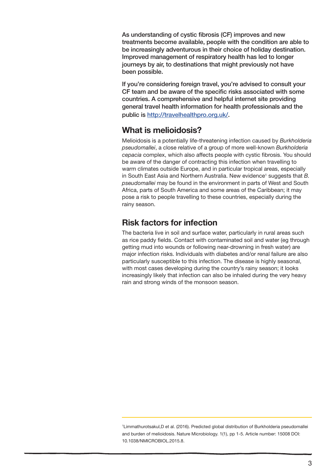As understanding of cystic fibrosis (CF) improves and new treatments become available, people with the condition are able to be increasingly adventurous in their choice of holiday destination. Improved management of respiratory health has led to longer journeys by air, to destinations that might previously not have been possible.

If you're considering foreign travel, you're advised to consult your CF team and be aware of the specific risks associated with some countries. A comprehensive and helpful internet site providing general travel health information for health professionals and the public is http://travelhealthpro.org.uk/.

# **What is melioidosis?**

Melioidosis is a potentially life-threatening infection caused by *Burkholderia pseudomallei*, a close relative of a group of more well-known *Burkholderia cepacia* complex, which also affects people with cystic fibrosis. You should be aware of the danger of contracting this infection when travelling to warm climates outside Europe, and in particular tropical areas, especially in South East Asia and Northern Australia. New evidence<sup>1</sup> suggests that B. *pseudomallei* may be found in the environment in parts of West and South Africa, parts of South America and some areas of the Caribbean; it may pose a risk to people travelling to these countries, especially during the rainy season.

# **Risk factors for infection**

The bacteria live in soil and surface water, particularly in rural areas such as rice paddy fields. Contact with contaminated soil and water (eg through getting mud into wounds or following near-drowning in fresh water) are major infection risks. Individuals with diabetes and/or renal failure are also particularly susceptible to this infection. The disease is highly seasonal, with most cases developing during the country's rainy season; it looks increasingly likely that infection can also be inhaled during the very heavy rain and strong winds of the monsoon season.

<sup>1</sup> Limmathurotsakul,D et al. (2016). Predicted global distribution of Burkholderia pseudomallei and burden of melioidosis. Nature Microbiology. 1(1), pp 1-5. Article number: 15008 DOI: 10.1038/NMICROBIOL.2015.8.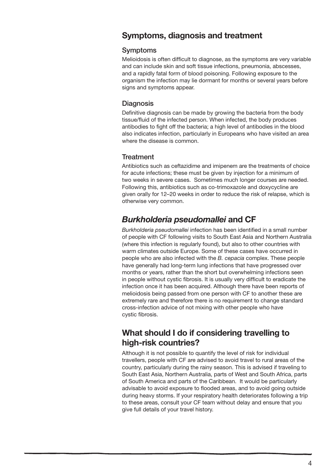# **Symptoms, diagnosis and treatment**

#### Symptoms

Melioidosis is often difficult to diagnose, as the symptoms are very variable and can include skin and soft tissue infections, pneumonia, abscesses, and a rapidly fatal form of blood poisoning. Following exposure to the organism the infection may lie dormant for months or several years before signs and symptoms appear.

### **Diagnosis**

Definitive diagnosis can be made by growing the bacteria from the body tissue/fluid of the infected person. When infected, the body produces antibodies to fight off the bacteria; a high level of antibodies in the blood also indicates infection, particularly in Europeans who have visited an area where the disease is common.

### **Treatment**

Antibiotics such as ceftazidime and imipenem are the treatments of choice for acute infections; these must be given by injection for a minimum of two weeks in severe cases. Sometimes much longer courses are needed. Following this, antibiotics such as co-trimoxazole and doxycycline are given orally for 12–20 weeks in order to reduce the risk of relapse, which is otherwise very common.

# *Burkholderia pseudomallei* **and CF**

*Burkholderia pseudomallei* infection has been identified in a small number of people with CF following visits to South East Asia and Northern Australia (where this infection is regularly found), but also to other countries with warm climates outside Europe. Some of these cases have occurred in people who are also infected with the *B. cepacia* complex. These people have generally had long-term lung infections that have progressed over months or years, rather than the short but overwhelming infections seen in people without cystic fibrosis. It is usually very difficult to eradicate the infection once it has been acquired. Although there have been reports of melioidosis being passed from one person with CF to another these are extremely rare and therefore there is no requirement to change standard cross-infection advice of not mixing with other people who have cystic fibrosis.

# **What should I do if considering travelling to high-risk countries?**

Although it is not possible to quantify the level of risk for individual travellers, people with CF are advised to avoid travel to rural areas of the country, particularly during the rainy season. This is advised if traveling to South East Asia, Northern Australia, parts of West and South Africa, parts of South America and parts of the Caribbean. It would be particularly advisable to avoid exposure to flooded areas, and to avoid going outside during heavy storms. If your respiratory health deteriorates following a trip to these areas, consult your CF team without delay and ensure that you give full details of your travel history.